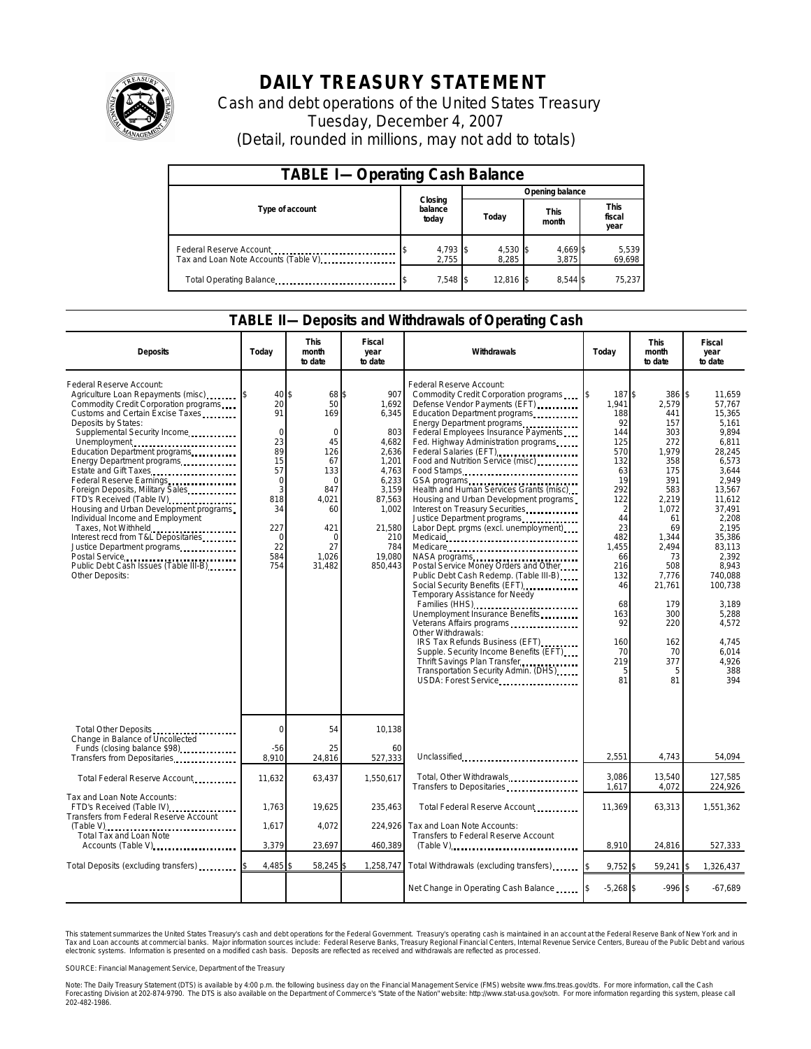

## **DAILY TREASURY STATEMENT**

Cash and debt operations of the United States Treasury Tuesday, December 4, 2007 (Detail, rounded in millions, may not add to totals)

| <b>TABLE I-Operating Cash Balance</b>                           |                             |                   |                      |                               |  |  |  |
|-----------------------------------------------------------------|-----------------------------|-------------------|----------------------|-------------------------------|--|--|--|
|                                                                 |                             | Opening balance   |                      |                               |  |  |  |
| Type of account                                                 | Closing<br>balance<br>today | Today             | <b>This</b><br>month | <b>This</b><br>fiscal<br>year |  |  |  |
| Federal Reserve Account<br>Tax and Loan Note Accounts (Table V) | 4,793 \$<br>2.755           | 4,530 \$<br>8.285 | 4,669 \$<br>3.875    | 5,539<br>69,698               |  |  |  |
| Total Operating Balance                                         | 7,548 \$                    | 12,816            | 8.544 \$             | 75,237                        |  |  |  |

## **TABLE II—Deposits and Withdrawals of Operating Cash**

| <b>Deposits</b>                                                                                                                                                                                                                                                                                                                                                                                                                                                                                                                                                                                        | Today                                                                                                                  | <b>This</b><br>month<br>to date                                                                                                                 | Fiscal<br>year<br>to date                                                                                                                          | Withdrawals                                                                                                                                                                                                                                                                                                                                                                                                                                                                                                                                                                                                                                                                                                                                                                                                                                                                                                                                                                                                              | Today                                                                                                                                                                                                       | <b>This</b><br>month<br>to date                                                                                                                                                                                      | Fiscal<br>year<br>to date                                                                                                                                                                                                                                                  |
|--------------------------------------------------------------------------------------------------------------------------------------------------------------------------------------------------------------------------------------------------------------------------------------------------------------------------------------------------------------------------------------------------------------------------------------------------------------------------------------------------------------------------------------------------------------------------------------------------------|------------------------------------------------------------------------------------------------------------------------|-------------------------------------------------------------------------------------------------------------------------------------------------|----------------------------------------------------------------------------------------------------------------------------------------------------|--------------------------------------------------------------------------------------------------------------------------------------------------------------------------------------------------------------------------------------------------------------------------------------------------------------------------------------------------------------------------------------------------------------------------------------------------------------------------------------------------------------------------------------------------------------------------------------------------------------------------------------------------------------------------------------------------------------------------------------------------------------------------------------------------------------------------------------------------------------------------------------------------------------------------------------------------------------------------------------------------------------------------|-------------------------------------------------------------------------------------------------------------------------------------------------------------------------------------------------------------|----------------------------------------------------------------------------------------------------------------------------------------------------------------------------------------------------------------------|----------------------------------------------------------------------------------------------------------------------------------------------------------------------------------------------------------------------------------------------------------------------------|
| Federal Reserve Account:<br>Agriculture Loan Repayments (misc)<br>Commodity Credit Corporation programs<br>Customs and Certain Excise Taxes<br>Deposits by States:<br>Supplemental Security Income<br>Unemployment<br>Education Department programs<br>Energy Department programs<br>Estate and Gift Taxes<br>Federal Reserve Earnings.<br>Foreign Deposits, Military Sales<br>FTD's Received (Table IV)<br>Housing and Urban Development programs<br>Individual Income and Employment<br>Taxes, Not Withheld<br>Interest recd from T&L Depositaries<br>Justice Department programs<br>Other Deposits: | 40<br>20<br>91<br>$\mathbf 0$<br>23<br>89<br>15<br>57<br>$\mathbf 0$<br>3<br>818<br>34<br>227<br>0<br>22<br>584<br>754 | \$<br>68 \$<br>50<br>169<br>$\Omega$<br>45<br>126<br>67<br>133<br>$\Omega$<br>847<br>4.021<br>60<br>421<br>$\mathbf 0$<br>27<br>1.026<br>31,482 | 907<br>1.692<br>6,345<br>803<br>4.682<br>2,636<br>1,201<br>4,763<br>6.233<br>3,159<br>87,563<br>1,002<br>21,580<br>210<br>784<br>19.080<br>850,443 | Federal Reserve Account:<br>Commodity Credit Corporation programs<br>Defense Vendor Payments (EFT)<br>Education Department programs<br>Energy Department programs<br>Federal Employees Insurance Payments<br>Fed. Highway Administration programs<br>Federal Salaries (EFT)<br>Food and Nutrition Service (misc)<br>Food Stamps<br>GSA programs<br>Health and Human Services Grants (misc)<br>Housing and Urban Development programs<br>Interest on Treasury Securities<br>Justice Department programs<br>Labor Dept. prgms (excl. unemployment)<br>Medicare<br>NASA programs<br>Postal Service Money Orders and Other<br>Public Debt Cash Redemp. (Table III-B)<br>Social Security Benefits (EFT)<br>Temporary Assistance for Needy<br>Families (HHS)<br>Unemployment Insurance Benefits<br>Veterans Affairs programs<br>Other Withdrawals:<br>IRS Tax Refunds Business (EFT)<br>Supple. Security Income Benefits (EFT)<br>Thrift Savings Plan Transfer<br>Transportation Security Admin. (DHS)<br>USDA: Forest Service | 187\$<br>1.941<br>188<br>92<br>144<br>125<br>570<br>132<br>63<br>19<br>292<br>122<br>$\overline{2}$<br>44<br>23<br>482<br>1,455<br>66<br>216<br>132<br>46<br>68<br>163<br>92<br>160<br>70<br>219<br>5<br>81 | 386 \$<br>2,579<br>441<br>157<br>303<br>272<br>1,979<br>358<br>175<br>391<br>583<br>2,219<br>1,072<br>61<br>69<br>1,344<br>2.494<br>73<br>508<br>7,776<br>21,761<br>179<br>300<br>220<br>162<br>70<br>377<br>5<br>81 | 11,659<br>57.767<br>15,365<br>5.161<br>9.894<br>6.811<br>28,245<br>6,573<br>3.644<br>2.949<br>13,567<br>11.612<br>37.491<br>2.208<br>2.195<br>35.386<br>83.113<br>2.392<br>8,943<br>740.088<br>100,738<br>3.189<br>5.288<br>4,572<br>4.745<br>6.014<br>4,926<br>388<br>394 |
| Total Other Deposits<br>Change in Balance of Uncollected                                                                                                                                                                                                                                                                                                                                                                                                                                                                                                                                               | $\mathbf 0$                                                                                                            | 54                                                                                                                                              | 10,138                                                                                                                                             |                                                                                                                                                                                                                                                                                                                                                                                                                                                                                                                                                                                                                                                                                                                                                                                                                                                                                                                                                                                                                          |                                                                                                                                                                                                             |                                                                                                                                                                                                                      |                                                                                                                                                                                                                                                                            |
| Funds (closing balance \$98)<br>Transfers from Depositaries                                                                                                                                                                                                                                                                                                                                                                                                                                                                                                                                            | -56<br>8,910                                                                                                           | 25<br>24,816                                                                                                                                    | 60<br>527,333                                                                                                                                      | Unclassified                                                                                                                                                                                                                                                                                                                                                                                                                                                                                                                                                                                                                                                                                                                                                                                                                                                                                                                                                                                                             | 2,551                                                                                                                                                                                                       | 4,743                                                                                                                                                                                                                | 54,094                                                                                                                                                                                                                                                                     |
| Total Federal Reserve Account                                                                                                                                                                                                                                                                                                                                                                                                                                                                                                                                                                          | 11,632                                                                                                                 | 63,437                                                                                                                                          | 1,550,617                                                                                                                                          | Total, Other Withdrawals<br>Transfers to Depositaries                                                                                                                                                                                                                                                                                                                                                                                                                                                                                                                                                                                                                                                                                                                                                                                                                                                                                                                                                                    | 3.086<br>1,617                                                                                                                                                                                              | 13.540<br>4,072                                                                                                                                                                                                      | 127.585<br>224,926                                                                                                                                                                                                                                                         |
| Tax and Loan Note Accounts:<br>FTD's Received (Table IV)<br>Transfers from Federal Reserve Account                                                                                                                                                                                                                                                                                                                                                                                                                                                                                                     | 1.763                                                                                                                  | 19,625                                                                                                                                          | 235.463                                                                                                                                            | Total Federal Reserve Account                                                                                                                                                                                                                                                                                                                                                                                                                                                                                                                                                                                                                                                                                                                                                                                                                                                                                                                                                                                            | 11,369                                                                                                                                                                                                      | 63,313                                                                                                                                                                                                               | 1,551,362                                                                                                                                                                                                                                                                  |
| (Table V)<br>Total Tax and Loan Note<br>Accounts (Table V)                                                                                                                                                                                                                                                                                                                                                                                                                                                                                                                                             | 1,617<br>3,379                                                                                                         | 4,072<br>23,697                                                                                                                                 | 224,926<br>460,389                                                                                                                                 | Tax and Loan Note Accounts:<br>Transfers to Federal Reserve Account                                                                                                                                                                                                                                                                                                                                                                                                                                                                                                                                                                                                                                                                                                                                                                                                                                                                                                                                                      | 8,910                                                                                                                                                                                                       | 24,816                                                                                                                                                                                                               | 527,333                                                                                                                                                                                                                                                                    |
|                                                                                                                                                                                                                                                                                                                                                                                                                                                                                                                                                                                                        |                                                                                                                        |                                                                                                                                                 |                                                                                                                                                    | $(Table V)$                                                                                                                                                                                                                                                                                                                                                                                                                                                                                                                                                                                                                                                                                                                                                                                                                                                                                                                                                                                                              |                                                                                                                                                                                                             |                                                                                                                                                                                                                      |                                                                                                                                                                                                                                                                            |
| Total Deposits (excluding transfers)                                                                                                                                                                                                                                                                                                                                                                                                                                                                                                                                                                   | 4,485                                                                                                                  | 58,245                                                                                                                                          | 1,258,747                                                                                                                                          | Total Withdrawals (excluding transfers)                                                                                                                                                                                                                                                                                                                                                                                                                                                                                                                                                                                                                                                                                                                                                                                                                                                                                                                                                                                  | 9,752\$                                                                                                                                                                                                     | 59,241                                                                                                                                                                                                               | 1,326,437<br><sup>\$</sup>                                                                                                                                                                                                                                                 |
|                                                                                                                                                                                                                                                                                                                                                                                                                                                                                                                                                                                                        |                                                                                                                        |                                                                                                                                                 |                                                                                                                                                    | Net Change in Operating Cash Balance                                                                                                                                                                                                                                                                                                                                                                                                                                                                                                                                                                                                                                                                                                                                                                                                                                                                                                                                                                                     | $-5,268$ \$                                                                                                                                                                                                 | $-996$ \$                                                                                                                                                                                                            | $-67,689$                                                                                                                                                                                                                                                                  |

This statement summarizes the United States Treasury's cash and debt operations for the Federal Government. Treasury's operating cash is maintained in an account at the Federal Reserve Bank of New York and in<br>Tax and Loan narizes the United States Treasury's cash and debt operations for the Federal Government. Treasury's operating cash is maintained in an account at the Federal Reserve Bank of New York and in<br>nts at commercial banks. Major

SOURCE: Financial Management Service, Department of the Treasury

Note: The Daily Treasury Statement (DTS) is available by 4:00 p.m. the following business day on the Financial Management Service (FMS) website www.fms.treas.gov/dts. For more information, call the Cash<br>Forecasting Divisio 202-482-1986.